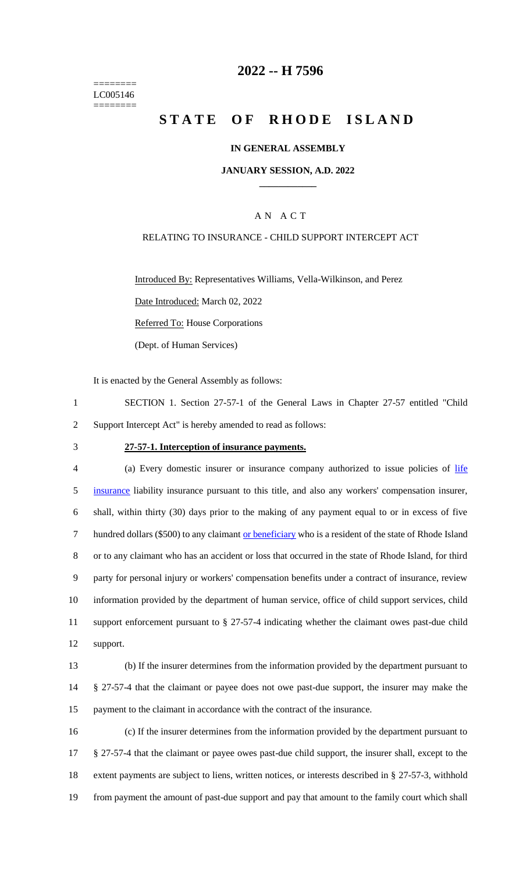======== LC005146 ========

### **2022 -- H 7596**

# **STATE OF RHODE ISLAND**

#### **IN GENERAL ASSEMBLY**

#### **JANUARY SESSION, A.D. 2022 \_\_\_\_\_\_\_\_\_\_\_\_**

#### A N A C T

#### RELATING TO INSURANCE - CHILD SUPPORT INTERCEPT ACT

Introduced By: Representatives Williams, Vella-Wilkinson, and Perez

Date Introduced: March 02, 2022

Referred To: House Corporations

(Dept. of Human Services)

It is enacted by the General Assembly as follows:

- 1 SECTION 1. Section 27-57-1 of the General Laws in Chapter 27-57 entitled "Child 2 Support Intercept Act" is hereby amended to read as follows:
- 

#### 3 **27-57-1. Interception of insurance payments.**

4 (a) Every domestic insurer or insurance company authorized to issue policies of life insurance liability insurance pursuant to this title, and also any workers' compensation insurer, shall, within thirty (30) days prior to the making of any payment equal to or in excess of five hundred dollars (\$500) to any claimant or beneficiary who is a resident of the state of Rhode Island or to any claimant who has an accident or loss that occurred in the state of Rhode Island, for third party for personal injury or workers' compensation benefits under a contract of insurance, review information provided by the department of human service, office of child support services, child support enforcement pursuant to § 27-57-4 indicating whether the claimant owes past-due child 12 support.

13 (b) If the insurer determines from the information provided by the department pursuant to 14 § 27-57-4 that the claimant or payee does not owe past-due support, the insurer may make the 15 payment to the claimant in accordance with the contract of the insurance.

 (c) If the insurer determines from the information provided by the department pursuant to § 27-57-4 that the claimant or payee owes past-due child support, the insurer shall, except to the extent payments are subject to liens, written notices, or interests described in § 27-57-3, withhold from payment the amount of past-due support and pay that amount to the family court which shall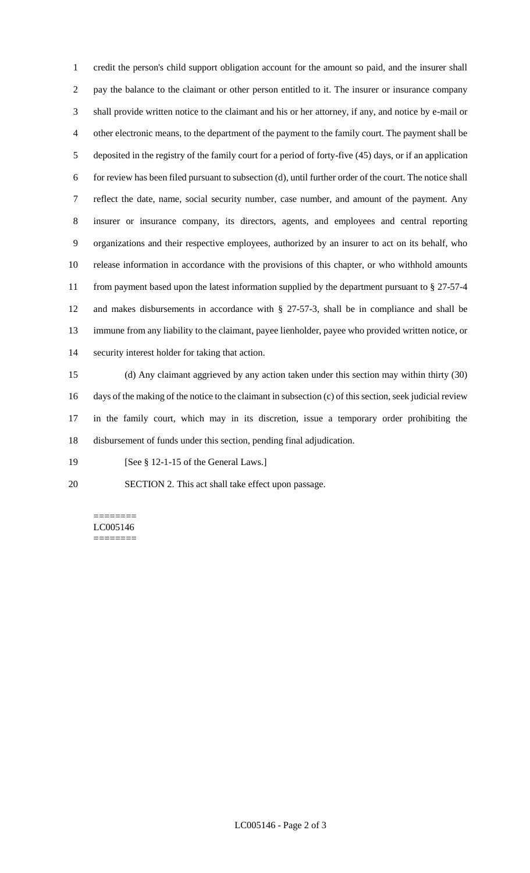credit the person's child support obligation account for the amount so paid, and the insurer shall pay the balance to the claimant or other person entitled to it. The insurer or insurance company shall provide written notice to the claimant and his or her attorney, if any, and notice by e-mail or other electronic means, to the department of the payment to the family court. The payment shall be deposited in the registry of the family court for a period of forty-five (45) days, or if an application for review has been filed pursuant to subsection (d), until further order of the court. The notice shall reflect the date, name, social security number, case number, and amount of the payment. Any insurer or insurance company, its directors, agents, and employees and central reporting organizations and their respective employees, authorized by an insurer to act on its behalf, who release information in accordance with the provisions of this chapter, or who withhold amounts from payment based upon the latest information supplied by the department pursuant to § 27-57-4 and makes disbursements in accordance with § 27-57-3, shall be in compliance and shall be immune from any liability to the claimant, payee lienholder, payee who provided written notice, or security interest holder for taking that action.

 (d) Any claimant aggrieved by any action taken under this section may within thirty (30) days of the making of the notice to the claimant in subsection (c) of this section, seek judicial review in the family court, which may in its discretion, issue a temporary order prohibiting the disbursement of funds under this section, pending final adjudication.

19 [See § 12-1-15 of the General Laws.]

SECTION 2. This act shall take effect upon passage.

======== LC005146 ========